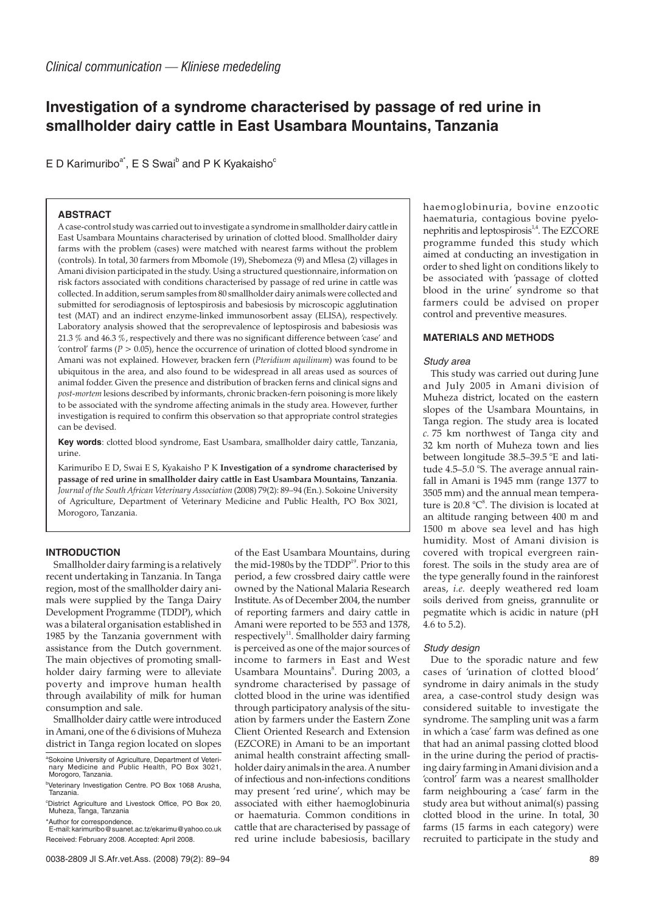# **Investigation of a syndrome characterised by passage of red urine in smallholder dairy cattle in East Usambara Mountains, Tanzania**

E D Karimuribo<sup>a\*</sup>, E S Swai<sup>b</sup> and P K Kyakaisho<sup>c</sup>

# **ABSTRACT**

A case-control study was carried out to investigate a syndrome in smallholder dairy cattle in East Usambara Mountains characterised by urination of clotted blood. Smallholder dairy farms with the problem (cases) were matched with nearest farms without the problem (controls). In total, 30 farmers from Mbomole (19), Shebomeza (9) and Mlesa (2) villages in Amani division participated in the study. Using a structured questionnaire, information on risk factors associated with conditions characterised by passage of red urine in cattle was collected. In addition, serum samples from 80 smallholder dairy animals were collected and submitted for serodiagnosis of leptospirosis and babesiosis by microscopic agglutination test (MAT) and an indirect enzyme-linked immunosorbent assay (ELISA), respectively. Laboratory analysis showed that the seroprevalence of leptospirosis and babesiosis was 21.3 % and 46.3 %, respectively and there was no significant difference between 'case' and 'control' farms ( $P > 0.05$ ), hence the occurrence of urination of clotted blood syndrome in Amani was not explained. However, bracken fern (*Pteridium aquilinum*) was found to be ubiquitous in the area, and also found to be widespread in all areas used as sources of animal fodder. Given the presence and distribution of bracken ferns and clinical signs and *post-mortem* lesions described by informants, chronic bracken-fern poisoning is more likely to be associated with the syndrome affecting animals in the study area. However, further investigation is required to confirm this observation so that appropriate control strategies can be devised.

**Key words**: clotted blood syndrome, East Usambara, smallholder dairy cattle, Tanzania, urine.

Karimuribo E D, Swai E S, Kyakaisho P K **Investigation of a syndrome characterised by passage of red urine in smallholder dairy cattle in East Usambara Mountains, Tanzania**. *Journal of the South African Veterinary Association* (2008) 79(2): 89–94 (En.). Sokoine University of Agriculture, Department of Veterinary Medicine and Public Health, PO Box 3021, Morogoro, Tanzania.

# **INTRODUCTION**

Smallholder dairy farming is a relatively recent undertaking in Tanzania. In Tanga region, most of the smallholder dairy animals were supplied by the Tanga Dairy Development Programme (TDDP), which was a bilateral organisation established in 1985 by the Tanzania government with assistance from the Dutch government. The main objectives of promoting smallholder dairy farming were to alleviate poverty and improve human health through availability of milk for human consumption and sale.

Smallholder dairy cattle were introduced in Amani, one of the 6 divisions of Muheza district in Tanga region located on slopes

\*Author for correspondence. E-mail:karimuribo@suanet.ac.tz/ekarimu@yahoo.co.uk Received: February 2008. Accepted: April 2008.

of the East Usambara Mountains, during the mid-1980s by the TDDP<sup>19</sup>. Prior to this period, a few crossbred dairy cattle were owned by the National Malaria Research Institute. As of December 2004, the number of reporting farmers and dairy cattle in Amani were reported to be 553 and 1378, respectively<sup>11</sup>. Smallholder dairy farming is perceived as one of the major sources of income to farmers in East and West Usambara Mountains<sup>8</sup>. During 2003, a syndrome characterised by passage of clotted blood in the urine was identified through participatory analysis of the situation by farmers under the Eastern Zone Client Oriented Research and Extension (EZCORE) in Amani to be an important animal health constraint affecting smallholder dairy animals in the area. A number of infectious and non-infections conditions may present 'red urine', which may be associated with either haemoglobinuria or haematuria. Common conditions in cattle that are characterised by passage of red urine include babesiosis, bacillary

haemoglobinuria, bovine enzootic haematuria, contagious bovine pyelonephritis and leptospirosis<sup>1,4</sup>. The EZCORE programme funded this study which aimed at conducting an investigation in order to shed light on conditions likely to be associated with 'passage of clotted blood in the urine' syndrome so that farmers could be advised on proper control and preventive measures.

# **MATERIALS AND METHODS**

# Study area

This study was carried out during June and July 2005 in Amani division of Muheza district, located on the eastern slopes of the Usambara Mountains, in Tanga region. The study area is located *c.* 75 km northwest of Tanga city and 32 km north of Muheza town and lies between longitude 38.5–39.5 °E and latitude 4.5–5.0 °S. The average annual rainfall in Amani is 1945 mm (range 1377 to 3505 mm) and the annual mean temperature is  $20.8 \text{ °C}^8$ . The division is located at an altitude ranging between 400 m and 1500 m above sea level and has high humidity. Most of Amani division is covered with tropical evergreen rainforest. The soils in the study area are of the type generally found in the rainforest areas, *i.e.* deeply weathered red loam soils derived from gneiss, grannulite or pegmatite which is acidic in nature (pH 4.6 to 5.2).

# Study design

Due to the sporadic nature and few cases of 'urination of clotted blood' syndrome in dairy animals in the study area, a case-control study design was considered suitable to investigate the syndrome. The sampling unit was a farm in which a 'case' farm was defined as one that had an animal passing clotted blood in the urine during the period of practising dairy farming in Amani division and a 'control' farm was a nearest smallholder farm neighbouring a 'case' farm in the study area but without animal(s) passing clotted blood in the urine. In total, 30 farms (15 farms in each category) were recruited to participate in the study and

a Sokoine University of Agriculture, Department of Veteri-nary Medicine and Public Health, PO Box 3021, Morogoro, Tanzania.

<sup>&</sup>lt;sup>b</sup>Veterinary Investigation Centre. PO Box 1068 Arusha, Tanzania.

c District Agriculture and Livestock Office, PO Box 20, Muheza, Tanga, Tanzania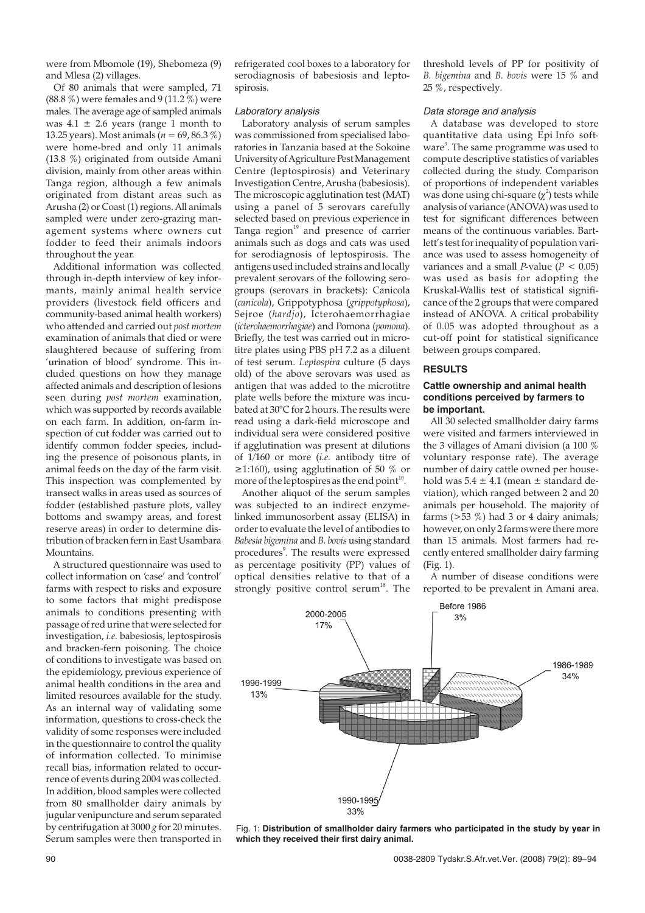were from Mbomole (19), Shebomeza (9) and Mlesa (2) villages.

Of 80 animals that were sampled, 71  $(88.8\%)$  were females and 9 (11.2 %) were males. The average age of sampled animals was  $4.1 \pm 2.6$  years (range 1 month to 13.25 years). Most animals (*n* = 69, 86.3 %) were home-bred and only 11 animals (13.8 %) originated from outside Amani division, mainly from other areas within Tanga region, although a few animals originated from distant areas such as Arusha (2) or Coast (1) regions. All animals sampled were under zero-grazing management systems where owners cut fodder to feed their animals indoors throughout the year.

Additional information was collected through in-depth interview of key informants, mainly animal health service providers (livestock field officers and community-based animal health workers) who attended and carried out *post mortem* examination of animals that died or were slaughtered because of suffering from 'urination of blood' syndrome. This included questions on how they manage affected animals and description of lesions seen during *post mortem* examination, which was supported by records available on each farm. In addition, on-farm inspection of cut fodder was carried out to identify common fodder species, including the presence of poisonous plants, in animal feeds on the day of the farm visit. This inspection was complemented by transect walks in areas used as sources of fodder (established pasture plots, valley bottoms and swampy areas, and forest reserve areas) in order to determine distribution of bracken fern in East Usambara Mountains.

A structured questionnaire was used to collect information on 'case' and 'control' farms with respect to risks and exposure to some factors that might predispose animals to conditions presenting with passage of red urine that were selected for investigation, *i.e.* babesiosis, leptospirosis and bracken-fern poisoning. The choice of conditions to investigate was based on the epidemiology, previous experience of animal health conditions in the area and limited resources available for the study. As an internal way of validating some information, questions to cross-check the validity of some responses were included in the questionnaire to control the quality of information collected. To minimise recall bias, information related to occurrence of events during 2004 was collected. In addition, blood samples were collected from 80 smallholder dairy animals by jugular venipuncture and serum separated by centrifugation at 3000 *g* for 20 minutes. Serum samples were then transported in

refrigerated cool boxes to a laboratory for serodiagnosis of babesiosis and leptospirosis.

# Laboratory analysis

Laboratory analysis of serum samples was commissioned from specialised laboratories in Tanzania based at the Sokoine University of Agriculture Pest Management Centre (leptospirosis) and Veterinary Investigation Centre, Arusha (babesiosis). The microscopic agglutination test (MAT) using a panel of 5 serovars carefully selected based on previous experience in Tanga region $19$  and presence of carrier animals such as dogs and cats was used for serodiagnosis of leptospirosis. The antigens used included strains and locally prevalent serovars of the following serogroups (serovars in brackets): Canicola (*canicola*), Grippotyphosa (*grippotyphosa*), Sejroe (*hardjo*), Icterohaemorrhagiae (*icterohaemorrhagiae*) and Pomona (*pomona*). Briefly, the test was carried out in microtitre plates using PBS pH 7.2 as a diluent of test serum. *Leptospira* culture (5 days old) of the above serovars was used as antigen that was added to the microtitre plate wells before the mixture was incubated at 30°C for 2 hours. The results were read using a dark-field microscope and individual sera were considered positive if agglutination was present at dilutions of 1/160 or more (*i.e.* antibody titre of  $\geq$ 1:160), using agglutination of 50 % or more of the leptospires as the end point $10$ .

Another aliquot of the serum samples was subjected to an indirect enzymelinked immunosorbent assay (ELISA) in order to evaluate the level of antibodies to *Babesia bigemina* and *B. bovis* using standard procedures<sup>9</sup>. The results were expressed as percentage positivity (PP) values of optical densities relative to that of a strongly positive control serum $^{18}$ . The threshold levels of PP for positivity of *B. bigemina* and *B. bovis* were 15 % and 25 %, respectively.

#### Data storage and analysis

A database was developed to store quantitative data using Epi Info software<sup>3</sup>. The same programme was used to compute descriptive statistics of variables collected during the study. Comparison of proportions of independent variables was done using chi-square  $(\chi^2)$  tests while analysis of variance (ANOVA) was used to test for significant differences between means of the continuous variables. Bartlett's test for inequality of population variance was used to assess homogeneity of variances and a small *P*-value ( $P < 0.05$ ) was used as basis for adopting the Kruskal-Wallis test of statistical significance of the 2 groups that were compared instead of ANOVA. A critical probability of 0.05 was adopted throughout as a cut-off point for statistical significance between groups compared.

# **RESULTS**

#### **Cattle ownership and animal health conditions perceived by farmers to be important.**

All 30 selected smallholder dairy farms were visited and farmers interviewed in the 3 villages of Amani division (a 100 % voluntary response rate). The average number of dairy cattle owned per household was  $5.4 \pm 4.1$  (mean  $\pm$  standard deviation), which ranged between 2 and 20 animals per household. The majority of farms  $(>\frac{53}{\%})$  had 3 or 4 dairy animals; however, on only 2 farms were there more than 15 animals. Most farmers had recently entered smallholder dairy farming (Fig. 1).

A number of disease conditions were reported to be prevalent in Amani area.



Fig. 1: **Distribution of smallholder dairy farmers who participated in the study by year in which they received their first dairy animal.**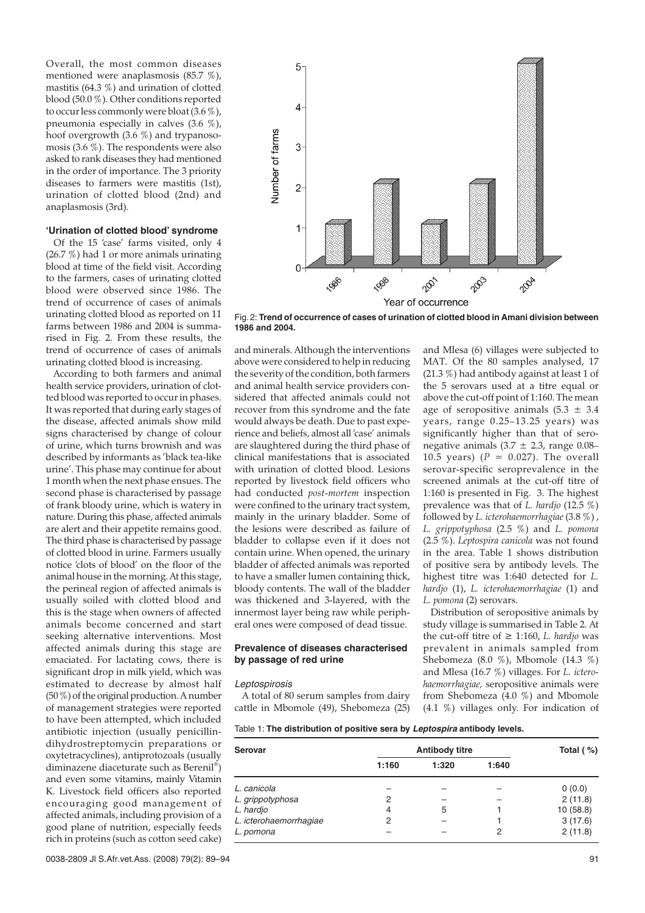Overall, the most common diseases mentioned were anaplasmosis (85.7 %), mastitis (64.3 %) and urination of clotted blood (50.0 %). Other conditions reported to occur less commonly were bloat (3.6 %), pneumonia especially in calves (3.6 %), hoof overgrowth (3.6 %) and trypanosomosis (3.6 %). The respondents were also asked to rank diseases they had mentioned in the order of importance. The 3 priority diseases to farmers were mastitis (1st), urination of clotted blood (2nd) and anaplasmosis (3rd).

# **'Urination of clotted blood' syndrome**

Of the 15 'case' farms visited, only 4 (26.7 %) had 1 or more animals urinating blood at time of the field visit. According to the farmers, cases of urinating clotted blood were observed since 1986. The trend of occurrence of cases of animals urinating clotted blood as reported on 11 farms between 1986 and 2004 is summarised in Fig. 2. From these results, the trend of occurrence of cases of animals urinating clotted blood is increasing.

According to both farmers and animal health service providers, urination of clotted blood was reported to occur in phases. It was reported that during early stages of the disease, affected animals show mild signs characterised by change of colour of urine, which turns brownish and was described by informants as 'black tea-like urine'. This phase may continue for about 1 month when the next phase ensues. The second phase is characterised by passage of frank bloody urine, which is watery in nature. During this phase, affected animals are alert and their appetite remains good. The third phase is characterised by passage of clotted blood in urine. Farmers usually notice 'clots of blood' on the floor of the animal house in the morning. At this stage, the perineal region of affected animals is usually soiled with clotted blood and this is the stage when owners of affected animals become concerned and start seeking alternative interventions. Most affected animals during this stage are emaciated. For lactating cows, there is significant drop in milk yield, which was estimated to decrease by almost half (50 %) of the original production. A number of management strategies were reported to have been attempted, which included antibiotic injection (usually penicillindihydrostreptomycin preparations or oxytetracyclines), antiprotozoals (usually diminazene diaceturate such as Berenil® ) and even some vitamins, mainly Vitamin K. Livestock field officers also reported encouraging good management of affected animals, including provision of a good plane of nutrition, especially feeds rich in proteins (such as cotton seed cake)



Fig.2: **Trend of occurrence of cases of urination of clotted blood in Amani division between 1986 and 2004.**

and minerals. Although the interventions above were considered to help in reducing the severity of the condition, both farmers and animal health service providers considered that affected animals could not recover from this syndrome and the fate would always be death. Due to past experience and beliefs, almost all 'case' animals are slaughtered during the third phase of clinical manifestations that is associated with urination of clotted blood. Lesions reported by livestock field officers who had conducted *post-mortem* inspection were confined to the urinary tract system, mainly in the urinary bladder. Some of the lesions were described as failure of bladder to collapse even if it does not contain urine. When opened, the urinary bladder of affected animals was reported to have a smaller lumen containing thick, bloody contents. The wall of the bladder was thickened and 3-layered, with the innermost layer being raw while peripheral ones were composed of dead tissue.

### **Prevalence of diseases characterised by passage of red urine**

#### Leptospirosis

A total of 80 serum samples from dairy cattle in Mbomole (49), Shebomeza (25)

and Mlesa (6) villages were subjected to MAT. Of the 80 samples analysed, 17 (21.3 %) had antibody against at least 1 of the 5 serovars used at a titre equal or above the cut-off point of 1:160. The mean age of seropositive animals  $(5.3 \pm 3.4)$ years, range 0.25–13.25 years) was significantly higher than that of seronegative animals  $(3.7 \pm 2.3)$ , range 0.08– 10.5 years)  $(P = 0.027)$ . The overall serovar-specific seroprevalence in the screened animals at the cut-off titre of 1:160 is presented in Fig. 3. The highest prevalence was that of *L. hardjo* (12.5 %) followed by *L. icterohaemorrhagiae* (3.8 %) , *L. grippotyphosa* (2.5 %) and *L. pomona* (2.5 %). *Leptospira canicola* was not found in the area. Table 1 shows distribution of positive sera by antibody levels. The highest titre was 1:640 detected for *L. hardjo* (1), *L. icterohaemorrhagiae* (1) and *L. pomona* (2) serovars.

Distribution of seropositive animals by study village is summarised in Table 2. At the cut-off titre of  $≥ 1:160$ , *L. hardio* was prevalent in animals sampled from Shebomeza (8.0 %), Mbomole (14.3 %) and Mlesa (16.7 %) villages. For *L. icterohaemorrhagiae,* seropositive animals were from Shebomeza (4.0 %) and Mbomole (4.1 %) villages only. For indication of

Table 1: **The distribution of positive sera by Leptospira antibody levels.**

| <b>Serovar</b>         | <b>Antibody titre</b> |       |       | Total $( %)$ |
|------------------------|-----------------------|-------|-------|--------------|
|                        | 1:160                 | 1:320 | 1:640 |              |
| L. canicola            |                       |       |       | 0(0.0)       |
| L. grippotyphosa       | 2                     |       |       | 2(11.8)      |
| L. hardjo              | 4                     | 5     |       | 10(58.8)     |
| L. icterohaemorrhagiae | 2                     |       |       | 3(17.6)      |
| L. pomona              |                       |       | 2     | 2(11.8)      |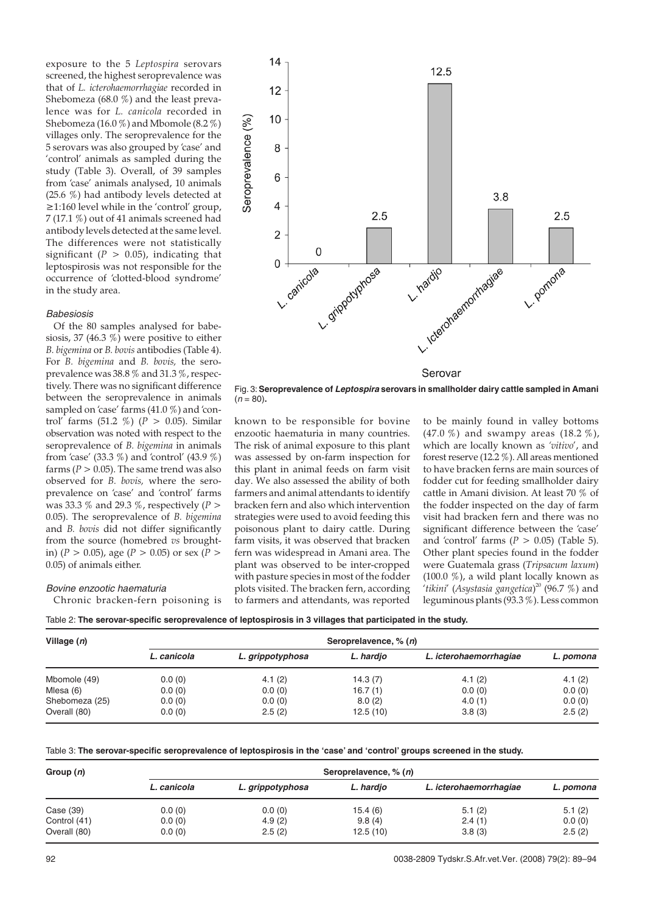exposure to the 5 *Leptospira* serovars screened, the highest seroprevalence was that of *L. icterohaemorrhagiae* recorded in Shebomeza (68.0 %) and the least prevalence was for *L. canicola* recorded in Shebomeza (16.0 %) and Mbomole (8.2 %) villages only. The seroprevalence for the 5 serovars was also grouped by 'case' and 'control' animals as sampled during the study (Table 3). Overall, of 39 samples from 'case' animals analysed, 10 animals (25.6 %) had antibody levels detected at ≥1:160 level while in the 'control' group, 7 (17.1 %) out of 41 animals screened had antibody levels detected at the same level. The differences were not statistically significant ( $P > 0.05$ ), indicating that leptospirosis was not responsible for the occurrence of 'clotted-blood syndrome' in the study area.

# Babesiosis

Of the 80 samples analysed for babesiosis, 37 (46.3  $\%$ ) were positive to either *B. bigemina* or *B. bovis* antibodies (Table 4). For *B. bigemina* and *B. bovis,* the seroprevalence was 38.8 % and 31.3 %, respectively. There was no significant difference between the seroprevalence in animals sampled on 'case' farms (41.0 %) and 'control' farms (51.2 %) (*P* > 0.05). Similar observation was noted with respect to the seroprevalence of *B. bigemina* in animals from 'case' (33.3 %) and 'control' (43.9 %) farms ( $P > 0.05$ ). The same trend was also observed for *B. bovis,* where the seroprevalence on 'case' and 'control' farms was 33.3 % and 29.3 %, respectively (*P* > 0.05). The seroprevalence of *B. bigemina* and *B. bovis* did not differ significantly from the source (homebred *vs* broughtin) ( $P > 0.05$ ), age ( $P > 0.05$ ) or sex ( $P >$ 0.05) of animals either.

# Bovine enzootic haematuria

Chronic bracken-fern poisoning is



Fig. 3:**Seroprevalence of Leptospira serovars in smallholder dairy cattle sampled in Amani**  $(n = 80)$ .

known to be responsible for bovine enzootic haematuria in many countries. The risk of animal exposure to this plant was assessed by on-farm inspection for this plant in animal feeds on farm visit day. We also assessed the ability of both farmers and animal attendants to identify bracken fern and also which intervention strategies were used to avoid feeding this poisonous plant to dairy cattle. During farm visits, it was observed that bracken fern was widespread in Amani area. The plant was observed to be inter-cropped with pasture species in most of the fodder plots visited. The bracken fern, according to farmers and attendants, was reported to be mainly found in valley bottoms (47.0 %) and swampy areas (18.2 %), which are locally known as *'vitivo*', and forest reserve (12.2 %). All areas mentioned to have bracken ferns are main sources of fodder cut for feeding smallholder dairy cattle in Amani division. At least 70 % of the fodder inspected on the day of farm visit had bracken fern and there was no significant difference between the 'case' and 'control' farms  $(P > 0.05)$  (Table 5). Other plant species found in the fodder were Guatemala grass (*Tripsacum laxum*) (100.0 %), a wild plant locally known as '*tikini*' (*Asystasia gangetica*) <sup>20</sup> (96.7 %) and leguminous plants (93.3 %). Less common

Table 2: **The serovar-specific seroprevalence of leptospirosis in 3 villages that participated in the study.**

| Village $(n)$  | Seroprelavence, % (n) |                  |           |                        |           |
|----------------|-----------------------|------------------|-----------|------------------------|-----------|
|                | L. canicola           | L. grippotyphosa | L. hardjo | L. icterohaemorrhagiae | L. pomona |
| Mbomole (49)   | 0.0(0)                | 4.1(2)           | 14.3(7)   | 4.1(2)                 | 4.1(2)    |
| Mlesa (6)      | 0.0(0)                | 0.0(0)           | 16.7(1)   | 0.0(0)                 | 0.0(0)    |
| Shebomeza (25) | 0.0(0)                | 0.0(0)           | 8.0(2)    | 4.0(1)                 | 0.0(0)    |
| Overall (80)   | 0.0(0)                | 2.5(2)           | 12.5(10)  | 3.8(3)                 | 2.5(2)    |

Table 3: **The serovar-specific seroprevalence of leptospirosis in the 'case' and 'control' groups screened in the study.**

| Group $(n)$  | Seroprelavence, % (n) |                  |           |                        |           |  |
|--------------|-----------------------|------------------|-----------|------------------------|-----------|--|
|              | L. canicola           | L. grippotyphosa | L. hardjo | L. icterohaemorrhagiae | L. pomona |  |
| Case (39)    | 0.0(0)                | 0.0(0)           | 15.4 (6)  | 5.1(2)                 | 5.1(2)    |  |
| Control (41) | 0.0(0)                | 4.9(2)           | 9.8(4)    | 2.4(1)                 | 0.0(0)    |  |
| Overall (80) | 0.0(0)                | 2.5(2)           | 12.5(10)  | 3.8(3)                 | 2.5(2)    |  |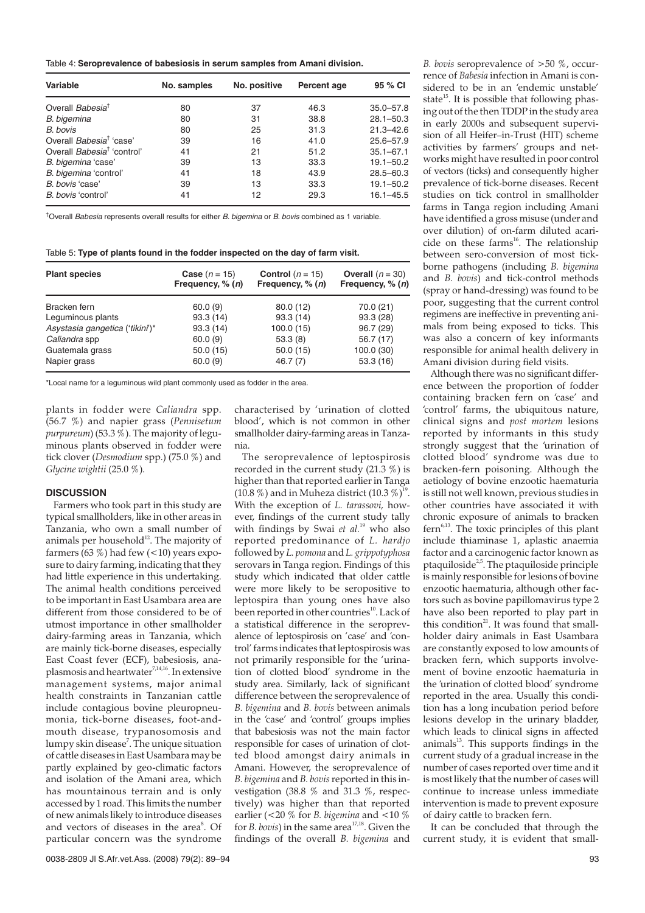Table 4: **Seroprevalence of babesiosis in serum samples from Amani division.**

| Variable                               | No. samples | No. positive | Percent age | 95 % CI       |
|----------------------------------------|-------------|--------------|-------------|---------------|
| Overall Babesia <sup>t</sup>           | 80          | 37           | 46.3        | $35.0 - 57.8$ |
| B. bigemina                            | 80          | 31           | 38.8        | $28.1 - 50.3$ |
| B. bovis                               | 80          | 25           | 31.3        | $21.3 - 42.6$ |
| Overall Babesia <sup>†</sup> 'case'    | 39          | 16           | 41.0        | $25.6 - 57.9$ |
| Overall Babesia <sup>†</sup> 'control' | 41          | 21           | 51.2        | $35.1 - 67.1$ |
| B. bigemina 'case'                     | 39          | 13           | 33.3        | $19.1 - 50.2$ |
| B. bigemina 'control'                  | 41          | 18           | 43.9        | $28.5 - 60.3$ |
| B. bovis 'case'                        | 39          | 13           | 33.3        | $19.1 - 50.2$ |
| B. bovis 'control'                     | 41          | 12           | 29.3        | $16.1 - 45.5$ |

<sup>†</sup>Overall Babesia represents overall results for either B. bigemina or B. bovis combined as 1 variable.

Table 5: **Type of plants found in the fodder inspected on the day of farm visit.**

| <b>Plant species</b>            | <b>Case</b> $(n = 15)$<br>Frequency, $% (n)$ | <b>Control</b> ( $n = 15$ )<br>Frequency, $% (n)$ | Overall $(n = 30)$<br>Frequency, $% (n)$ |
|---------------------------------|----------------------------------------------|---------------------------------------------------|------------------------------------------|
| Bracken fern                    | 60.0(9)                                      | 80.0(12)                                          | 70.0 (21)                                |
| Leguminous plants               | 93.3(14)                                     | 93.3(14)                                          | 93.3(28)                                 |
| Asystasia gangetica ('tikini')* | 93.3(14)                                     | 100.0(15)                                         | 96.7(29)                                 |
| Caliandra spp                   | 60.0(9)                                      | 53.3(8)                                           | 56.7 (17)                                |
| Guatemala grass                 | 50.0(15)                                     | 50.0(15)                                          | 100.0(30)                                |
| Napier grass                    | 60.0(9)                                      | 46.7(7)                                           | 53.3(16)                                 |

\*Local name for a leguminous wild plant commonly used as fodder in the area.

plants in fodder were *Caliandra* spp. (56.7 %) and napier grass (*Pennisetum purpureum*) (53.3  $\%$ ). The majority of leguminous plants observed in fodder were tick clover (*Desmodium* spp.) (75.0 %) and *Glycine wightii* (25.0 %).

### **DISCUSSION**

Farmers who took part in this study are typical smallholders, like in other areas in Tanzania, who own a small number of animals per household $12$ . The majority of farmers  $(63 \%)$  had few  $(<10)$  years exposure to dairy farming, indicating that they had little experience in this undertaking. The animal health conditions perceived to be important in East Usambara area are different from those considered to be of utmost importance in other smallholder dairy-farming areas in Tanzania, which are mainly tick-borne diseases, especially East Coast fever (ECF), babesiosis, anaplasmosis and heartwater<sup>7,14,16</sup>. In extensive management systems, major animal health constraints in Tanzanian cattle include contagious bovine pleuropneumonia, tick-borne diseases, foot-andmouth disease, trypanosomosis and lumpy skin disease<sup>7</sup>. The unique situation of cattle diseases in East Usambara may be partly explained by geo-climatic factors and isolation of the Amani area, which has mountainous terrain and is only accessed by 1 road. This limits the number of new animals likely to introduce diseases and vectors of diseases in the area<sup>8</sup>. Of particular concern was the syndrome

characterised by 'urination of clotted blood', which is not common in other smallholder dairy-farming areas in Tanzania.

The seroprevalence of leptospirosis recorded in the current study  $(21.3\%)$  is higher than that reported earlier in Tanga (10.8 %) and in Muheza district (10.3 %)<sup>19</sup>. With the exception of *L. tarassovi,* however, findings of the current study tally with findings by Swai *et al.*<sup>19</sup> who also reported predominance of *L. hardjo* followed by *L. pomona* and *L. grippotyphosa* serovars in Tanga region. Findings of this study which indicated that older cattle were more likely to be seropositive to leptospira than young ones have also been reported in other countries<sup>10</sup>. Lack of a statistical difference in the seroprevalence of leptospirosis on 'case' and 'control' farms indicates that leptospirosis was not primarily responsible for the 'urination of clotted blood' syndrome in the study area. Similarly, lack of significant difference between the seroprevalence of *B. bigemina* and *B. bovis* between animals in the 'case' and 'control' groups implies that babesiosis was not the main factor responsible for cases of urination of clotted blood amongst dairy animals in Amani. However, the seroprevalence of *B. bigemina* and *B. bovis*reported in this investigation (38.8 % and 31.3 %, respectively) was higher than that reported earlier (<20 % for *B. bigemina* and <10 % for *B. bovis*) in the same area<sup>17,18</sup>. Given the findings of the overall *B. bigemina* and

rence of *Babesia* infection in Amani is considered to be in an 'endemic unstable' state $^{15}$ . It is possible that following phasing out of the then TDDP in the study area in early 2000s and subsequent supervision of all Heifer–in-Trust (HIT) scheme activities by farmers' groups and networks might have resulted in poor control of vectors (ticks) and consequently higher prevalence of tick-borne diseases. Recent studies on tick control in smallholder farms in Tanga region including Amani have identified a gross misuse (under and over dilution) of on-farm diluted acaricide on these farms<sup>16</sup>. The relationship between sero-conversion of most tickborne pathogens (including *B. bigemina* and *B. bovis*) and tick-control methods (spray or hand-dressing) was found to be poor, suggesting that the current control regimens are ineffective in preventing animals from being exposed to ticks. This was also a concern of key informants responsible for animal health delivery in Amani division during field visits.

*B. bovis* seroprevalence of >50 %, occur-

Although there was no significant difference between the proportion of fodder containing bracken fern on 'case' and 'control' farms, the ubiquitous nature, clinical signs and *post mortem* lesions reported by informants in this study strongly suggest that the 'urination of clotted blood' syndrome was due to bracken-fern poisoning. Although the aetiology of bovine enzootic haematuria is still not well known, previous studies in other countries have associated it with chronic exposure of animals to bracken fern<sup>6,13</sup>. The toxic principles of this plant include thiaminase 1, aplastic anaemia factor and a carcinogenic factor known as ptaquiloside $^{2,5}$ . The ptaquiloside principle is mainly responsible for lesions of bovine enzootic haematuria, although other factors such as bovine papillomavirus type 2 have also been reported to play part in this condition<sup>21</sup>. It was found that smallholder dairy animals in East Usambara are constantly exposed to low amounts of bracken fern, which supports involvement of bovine enzootic haematuria in the 'urination of clotted blood' syndrome reported in the area. Usually this condition has a long incubation period before lesions develop in the urinary bladder, which leads to clinical signs in affected animals<sup>13</sup>. This supports findings in the current study of a gradual increase in the number of cases reported over time and it is most likely that the number of cases will continue to increase unless immediate intervention is made to prevent exposure of dairy cattle to bracken fern.

It can be concluded that through the current study, it is evident that small